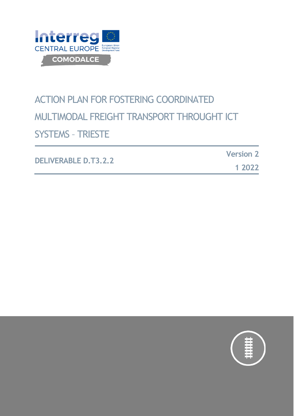

# ACTION PLAN FOR FOSTERING COORDINATED MULTIMODAL FREIGHT TRANSPORT THROUGHT ICT SYSTEMS – TRIESTE

| <b>DELIVERABLE D.T3.2.2</b> | <b>Version 2</b> |
|-----------------------------|------------------|
|                             | 1 2022           |

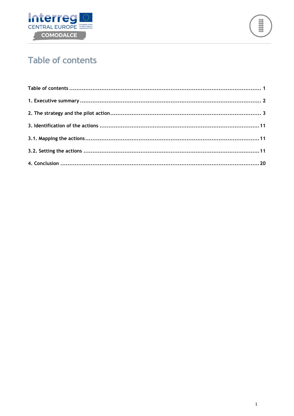



### <span id="page-1-0"></span>**Table of contents**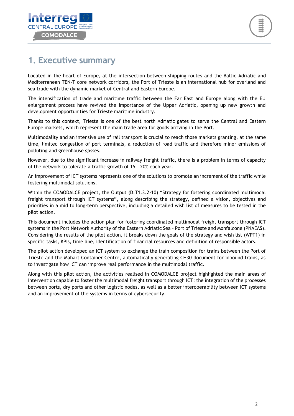

#### <span id="page-2-0"></span>**1. Executive summary**

Located in the heart of Europe, at the intersection between shipping routes and the Baltic-Adriatic and Mediterranean TEN-T core network corridors, the Port of Trieste is an international hub for overland and sea trade with the dynamic market of Central and Eastern Europe.

The intensification of trade and maritime traffic between the Far East and Europe along with the EU enlargement process have revived the importance of the Upper Adriatic, opening up new growth and development opportunities for Trieste maritime industry.

Thanks to this context, Trieste is one of the best north Adriatic gates to serve the Central and Eastern Europe markets, which represent the main trade area for goods arriving in the Port.

Multimodality and an intensive use of rail transport is crucial to reach those markets granting, at the same time, limited congestion of port terminals, a reduction of road traffic and therefore minor emissions of polluting and greenhouse gasses.

However, due to the significant increase in railway freight traffic, there is a problem in terms of capacity of the network to tolerate a traffic growth of 15 - 20% each year.

An improvement of ICT systems represents one of the solutions to promote an increment of the traffic while fostering multimodal solutions.

Within the COMODALCE project, the Output (D.T1.3.2-10) "Strategy for fostering coordinated multimodal freight transport through ICT systems", along describing the strategy, defined a vision, objectives and priorities in a mid to long-term perspective, including a detailed wish list of measures to be tested in the pilot action.

This document includes the action plan for fostering coordinated multimodal freight transport through ICT systems in the Port Network Authority of the Eastern Adriatic Sea – Port of Trieste and Monfalcone (PNAEAS). Considering the results of the pilot action, it breaks down the goals of the strategy and wish list (WPT1) in specific tasks, KPIs, time line, identification of financial resources and definition of responsible actors.

The pilot action developed an ICT system to exchange the train composition for trains between the Port of Trieste and the Mahart Container Centre, automatically generating CH30 document for inbound trains, as to investigate how ICT can improve real performance in the multimodal traffic.

Along with this pilot action, the activities realised in COMODALCE project highlighted the main areas of intervention capable to foster the multimodal freight transport through ICT: the integration of the processes between ports, dry ports and other logistic nodes, as well as a better interoperability between ICT systems and an improvement of the systems in terms of cybersecurity.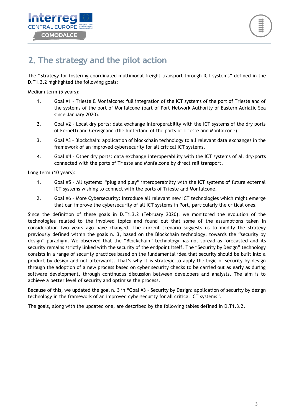



#### <span id="page-3-0"></span>**2. The strategy and the pilot action**

The "Strategy for fostering coordinated multimodal freight transport through ICT systems" defined in the D.T1.3.2 highlighted the following goals:

Medium term (5 years):

- 1. Goal #1 Trieste & Monfalcone: full integration of the ICT systems of the port of Trieste and of the systems of the port of Monfalcone (part of Port Network Authority of Eastern Adriatic Sea since January 2020).
- 2. Goal #2 Local dry ports: data exchange interoperability with the ICT systems of the dry ports of Fernetti and Cervignano (the hinterland of the ports of Trieste and Monfalcone).
- 3. Goal #3 Blockchain: application of blockchain technology to all relevant data exchanges in the framework of an improved cybersecurity for all critical ICT systems.
- 4. Goal #4 Other dry ports: data exchange interoperability with the ICT systems of all dry-ports connected with the ports of Trieste and Monfalcone by direct rail transport.

Long term (10 years):

- 1. Goal #5 All systems: "plug and play" interoperability with the ICT systems of future external ICT systems wishing to connect with the ports of Trieste and Monfalcone.
- 2. Goal #6 More Cybersecurity: Introduce all relevant new ICT technologies which might emerge that can improve the cybersecurity of all ICT systems in Port, particularly the critical ones.

Since the definition of these goals in D.T1.3.2 (February 2020), we monitored the evolution of the technologies related to the involved topics and found out that some of the assumptions taken in consideration two years ago have changed. The current scenario suggests us to modify the strategy previously defined within the goals n. 3, based on the Blockchain technology, towards the "security by design" paradigm. We observed that the "Blockchain" technology has not spread as forecasted and its security remains strictly linked with the security of the endpoint itself. The "Security by Design" technology consists in a range of security practices based on the fundamental idea that security should be built into a product by design and not afterwards. That's why it is strategic to apply the logic of security by design through the adoption of a new process based on cyber security checks to be carried out as early as during software development, through continuous discussion between developers and analysts. The aim is to achieve a better level of security and optimise the process.

Because of this, we updated the goal n. 3 in "Goal #3 – Security by Design: application of security by design technology in the framework of an improved cybersecurity for all critical ICT systems".

The goals, along with the updated one, are described by the following tables defined in D.T1.3.2.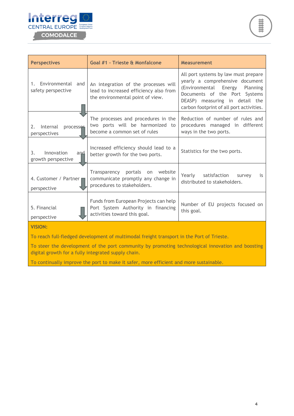



| <b>Perspectives</b>                                                                                                                                                          | <b>Goal #1 - Trieste &amp; Monfalcone</b>                                                                          | <b>Measurement</b>                                                                                                                                                                                                             |
|------------------------------------------------------------------------------------------------------------------------------------------------------------------------------|--------------------------------------------------------------------------------------------------------------------|--------------------------------------------------------------------------------------------------------------------------------------------------------------------------------------------------------------------------------|
| Environmental and<br>1.<br>safety perspective                                                                                                                                | An integration of the processes will<br>lead to increased efficiency also from<br>the environmental point of view. | All port systems by law must prepare<br>yearly a comprehensive document<br>(Environmental<br>Energy<br>Planning<br>Documents of the Port Systems<br>DEASP) measuring in detail the<br>carbon footprint of all port activities. |
| Internal<br>processes<br>2.<br>perspectives                                                                                                                                  | The processes and procedures in the<br>two ports will be harmonized to<br>become a common set of rules             | Reduction of number of rules and<br>procedures managed in different<br>ways in the two ports.                                                                                                                                  |
| 3.<br>Innovation<br>and<br>growth perspective                                                                                                                                | Increased efficiency should lead to a<br>better growth for the two ports.                                          | Statistics for the two ports.                                                                                                                                                                                                  |
| portals on<br>website<br>Transparency<br>Yearly<br>satisfaction<br>4. Customer / Partner<br>communicate promptly any change in<br>procedures to stakeholders.<br>perspective |                                                                                                                    | survey<br>is<br>distributed to stakeholders.                                                                                                                                                                                   |
| Funds from European Projects can help<br>5. Financial<br>Port System Authority in financing<br>this goal.<br>activities toward this goal.<br>perspective                     |                                                                                                                    | Number of EU projects focused on                                                                                                                                                                                               |
| <b>VISION:</b>                                                                                                                                                               |                                                                                                                    |                                                                                                                                                                                                                                |
| To reach full-fledged development of multimodal freight transport in the Port of Trieste.                                                                                    |                                                                                                                    |                                                                                                                                                                                                                                |
| digital growth for a fully integrated supply chain.                                                                                                                          | To steer the development of the port community by promoting technological innovation and boosting                  |                                                                                                                                                                                                                                |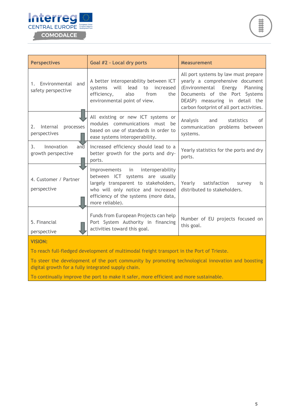



| <b>Perspectives</b>                                                                                                                                      | Goal #2 - Local dry ports                                                                                                                                                                                     | <b>Measurement</b>                                                                                                                                                                                                             |
|----------------------------------------------------------------------------------------------------------------------------------------------------------|---------------------------------------------------------------------------------------------------------------------------------------------------------------------------------------------------------------|--------------------------------------------------------------------------------------------------------------------------------------------------------------------------------------------------------------------------------|
| 1. Environmental and<br>safety perspective                                                                                                               | A better interoperability between ICT<br>will lead to<br>increased<br>systems<br>efficiency,<br>also<br>from<br>the<br>environmental point of view.                                                           | All port systems by law must prepare<br>yearly a comprehensive document<br>(Environmental<br>Energy<br>Planning<br>Documents of the Port Systems<br>DEASP) measuring in detail the<br>carbon footprint of all port activities. |
| Internal<br>processes<br>2.<br>perspectives                                                                                                              | All existing or new ICT systems or<br>modules communications must be<br>based on use of standards in order to<br>ease systems interoperability.                                                               | Analysis<br>$\alpha$ f<br>and<br>statistics<br>communication problems between<br>systems.                                                                                                                                      |
| 3.<br>Innovation<br>and<br>growth perspective                                                                                                            | Increased efficiency should lead to a<br>better growth for the ports and dry-<br>ports.                                                                                                                       | Yearly statistics for the ports and dry<br>ports.                                                                                                                                                                              |
| 4. Customer / Partner<br>perspective                                                                                                                     | Improvements in interoperability<br>between ICT systems are usually<br>largely transparent to stakeholders,<br>who will only notice and increased<br>efficiency of the systems (more data,<br>more reliable). | Yearly<br>satisfaction<br>survey<br>is<br>distributed to stakeholders.                                                                                                                                                         |
| 5. Financial<br>perspective                                                                                                                              | Funds from European Projects can help<br>Port System Authority in financing<br>activities toward this goal.                                                                                                   | Number of EU projects focused on<br>this goal.                                                                                                                                                                                 |
| <b>VISION:</b>                                                                                                                                           |                                                                                                                                                                                                               |                                                                                                                                                                                                                                |
| To reach full-fledged development of multimodal freight transport in the Port of Trieste.                                                                |                                                                                                                                                                                                               |                                                                                                                                                                                                                                |
| To steer the development of the port community by promoting technological innovation and boosting<br>digital growth for a fully integrated supply chain. |                                                                                                                                                                                                               |                                                                                                                                                                                                                                |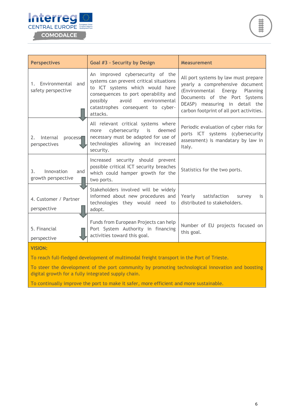



| <b>Perspectives</b>                           | Goal #3 - Security by Design                                                                                                                                                                                                                  | <b>Measurement</b>                                                                                                                                                                                                          |
|-----------------------------------------------|-----------------------------------------------------------------------------------------------------------------------------------------------------------------------------------------------------------------------------------------------|-----------------------------------------------------------------------------------------------------------------------------------------------------------------------------------------------------------------------------|
| 1. Environmental and<br>safety perspective    | An improved cybersecurity of the<br>systems can prevent critical situations<br>to ICT systems which would have<br>consequences to port operability and<br>possibly<br>avoid<br>environmental<br>catastrophes consequent to cyber-<br>attacks. | All port systems by law must prepare<br>yearly a comprehensive document<br>(Environmental Energy<br>Planning<br>Documents of the Port Systems<br>DEASP) measuring in detail the<br>carbon footprint of all port activities. |
| Internal<br>2.<br>processe<br>perspectives    | All relevant critical systems where<br>cybersecurity is<br>deemed<br>more<br>necessary must be adapted for use of<br>technologies allowing an increased<br>security.                                                                          | Periodic evaluation of cyber risks for<br>ports ICT systems (cybersecurity<br>assessment) is mandatary by law in<br>Italy.                                                                                                  |
| Innovation<br>3.<br>and<br>growth perspective | Increased security should prevent<br>possible critical ICT security breaches<br>which could hamper growth for the<br>two ports.                                                                                                               | Statistics for the two ports.                                                                                                                                                                                               |
| 4. Customer / Partner<br>perspective          | Stakeholders involved will be widely<br>informed about new procedures and<br>technologies they would need to<br>adopt.                                                                                                                        | Yearly satisfaction<br>survey<br>is<br>distributed to stakeholders.                                                                                                                                                         |
| 5. Financial<br>perspective                   | Funds from European Projects can help<br>Port System Authority in financing<br>activities toward this goal.                                                                                                                                   | Number of EU projects focused on<br>this goal.                                                                                                                                                                              |
| <b>VISION:</b>                                |                                                                                                                                                                                                                                               |                                                                                                                                                                                                                             |

To reach full-fledged development of multimodal freight transport in the Port of Trieste.

To steer the development of the port community by promoting technological innovation and boosting digital growth for a fully integrated supply chain.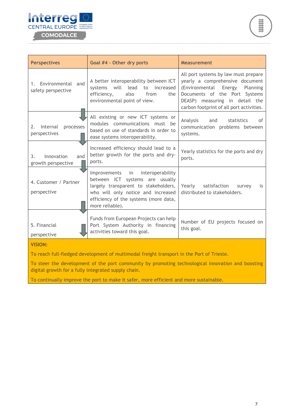



| <b>Perspectives</b>                                                                       | Goal #4 - Other dry ports                                                                                                                                                                                           | <b>Measurement</b>                                                                                                                                                                                                             |
|-------------------------------------------------------------------------------------------|---------------------------------------------------------------------------------------------------------------------------------------------------------------------------------------------------------------------|--------------------------------------------------------------------------------------------------------------------------------------------------------------------------------------------------------------------------------|
| 1. Environmental and<br>safety perspective                                                | A better interoperability between ICT<br>will lead<br>to increased<br>systems<br>efficiency,<br>also<br>from<br>the<br>environmental point of view.                                                                 | All port systems by law must prepare<br>yearly a comprehensive document<br>(Environmental<br>Energy<br>Planning<br>Documents of the Port Systems<br>DEASP) measuring in detail the<br>carbon footprint of all port activities. |
| Internal<br>processes<br>2.<br>perspectives                                               | All existing or new ICT systems or<br>modules communications must be<br>based on use of standards in order to<br>ease systems interoperability.                                                                     | Analysis<br>and<br>statistics<br>οf<br>communication problems between<br>systems.                                                                                                                                              |
| Innovation<br>3.<br>and<br>growth perspective                                             | Increased efficiency should lead to a<br>better growth for the ports and dry-<br>ports.                                                                                                                             | Yearly statistics for the ports and dry<br>ports.                                                                                                                                                                              |
| 4. Customer / Partner<br>perspective                                                      | Improvements<br>interoperability<br>in<br>between ICT systems are usually<br>largely transparent to stakeholders,<br>who will only notice and increased<br>efficiency of the systems (more data,<br>more reliable). | Yearly<br>satisfaction<br>survey<br>is<br>distributed to stakeholders.                                                                                                                                                         |
| 5. Financial<br>perspective                                                               | Funds from European Projects can help<br>Port System Authority in financing<br>activities toward this goal.                                                                                                         | Number of EU projects focused on<br>this goal.                                                                                                                                                                                 |
| <b>VISION:</b>                                                                            |                                                                                                                                                                                                                     |                                                                                                                                                                                                                                |
| To reach full-fledged development of multimodal freight transport in the Port of Trieste. |                                                                                                                                                                                                                     |                                                                                                                                                                                                                                |
| digital growth for a fully integrated supply chain.                                       | To steer the development of the port community by promoting technological innovation and boosting                                                                                                                   |                                                                                                                                                                                                                                |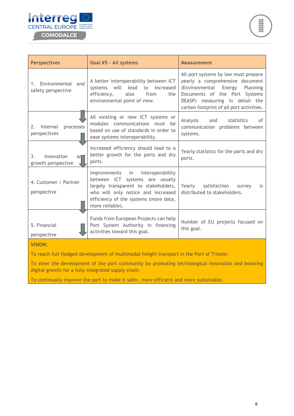



| <b>Perspectives</b>                                                                                                                                      | Goal #5 - All systems                                                                                                                                                                                            | <b>Measurement</b>                                                                                                                                                                                                             |
|----------------------------------------------------------------------------------------------------------------------------------------------------------|------------------------------------------------------------------------------------------------------------------------------------------------------------------------------------------------------------------|--------------------------------------------------------------------------------------------------------------------------------------------------------------------------------------------------------------------------------|
| Environmental and<br>1.<br>safety perspective                                                                                                            | A better interoperability between ICT<br>will lead<br>to<br>increased<br>systems<br>efficiency,<br>also<br>from<br>the<br>environmental point of view.                                                           | All port systems by law must prepare<br>yearly a comprehensive document<br>(Environmental<br>Energy<br>Planning<br>Documents of the Port Systems<br>DEASP) measuring in detail the<br>carbon footprint of all port activities. |
| 2.<br>Internal<br>processes<br>perspectives                                                                                                              | All existing or new ICT systems or<br>modules communications must be<br>based on use of standards in order to<br>ease systems interoperability.                                                                  | Analysis<br>and<br>statistics<br>οf<br>communication problems between<br>systems.                                                                                                                                              |
| 3.<br>Innovation<br>ar<br>growth perspective                                                                                                             | Increased efficiency should lead to a<br>better growth for the ports and dry<br>ports.                                                                                                                           | Yearly statistics for the ports and dry<br>ports.                                                                                                                                                                              |
| 4. Customer / Partner<br>perspective                                                                                                                     | interoperability<br>Improvements in<br>between ICT systems are usually<br>largely transparent to stakeholders,<br>who will only notice and increased<br>efficiency of the systems (more data,<br>more reliable). | Yearly<br>satisfaction<br>survey<br>is<br>distributed to stakeholders.                                                                                                                                                         |
| 5. Financial<br>perspective                                                                                                                              | Funds from European Projects can help<br>Port System Authority in financing<br>activities toward this goal.                                                                                                      | Number of EU projects focused on<br>this goal.                                                                                                                                                                                 |
| <b>VISION:</b>                                                                                                                                           |                                                                                                                                                                                                                  |                                                                                                                                                                                                                                |
| To reach full-fledged development of multimodal freight transport in the Port of Trieste.                                                                |                                                                                                                                                                                                                  |                                                                                                                                                                                                                                |
| To steer the development of the port community by promoting technological innovation and boosting<br>digital growth for a fully integrated supply chain. |                                                                                                                                                                                                                  |                                                                                                                                                                                                                                |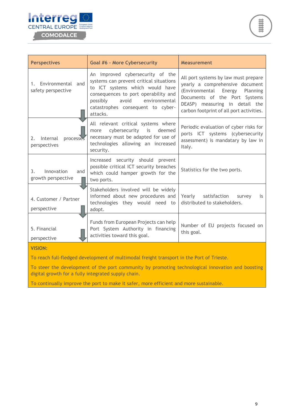



| <b>Perspectives</b>                                                                       | <b>Goal #6 - More Cybersecurity</b>                                                                                                                                                                                                           | <b>Measurement</b>                                                                                                                                                                                                          |
|-------------------------------------------------------------------------------------------|-----------------------------------------------------------------------------------------------------------------------------------------------------------------------------------------------------------------------------------------------|-----------------------------------------------------------------------------------------------------------------------------------------------------------------------------------------------------------------------------|
| 1. Environmental and<br>safety perspective                                                | An improved cybersecurity of the<br>systems can prevent critical situations<br>to ICT systems which would have<br>consequences to port operability and<br>possibly<br>avoid<br>environmental<br>catastrophes consequent to cyber-<br>attacks. | All port systems by law must prepare<br>yearly a comprehensive document<br>(Environmental Energy<br>Planning<br>Documents of the Port Systems<br>DEASP) measuring in detail the<br>carbon footprint of all port activities. |
| Internal<br>processes<br>2.<br>perspectives                                               | All relevant critical systems where<br>cybersecurity is<br>deemed<br>more<br>necessary must be adapted for use of<br>technologies allowing an increased<br>security.                                                                          | Periodic evaluation of cyber risks for<br>ports ICT systems (cybersecurity<br>assessment) is mandatary by law in<br>Italy.                                                                                                  |
| 3 <sub>1</sub><br>Innovation<br>and<br>growth perspective                                 | Increased security should prevent<br>possible critical ICT security breaches<br>which could hamper growth for the<br>two ports.                                                                                                               | Statistics for the two ports.                                                                                                                                                                                               |
| 4. Customer / Partner<br>perspective                                                      | Stakeholders involved will be widely<br>informed about new procedures and<br>technologies they would need to<br>adopt.                                                                                                                        | Yearly satisfaction<br>survey<br>is<br>distributed to stakeholders.                                                                                                                                                         |
| 5. Financial<br>perspective                                                               | Funds from European Projects can help<br>Port System Authority in financing<br>activities toward this goal.                                                                                                                                   | Number of EU projects focused on<br>this goal.                                                                                                                                                                              |
| <b>VISION:</b>                                                                            |                                                                                                                                                                                                                                               |                                                                                                                                                                                                                             |
| To reach full-fledged development of multimodal freight transport in the Port of Trieste. |                                                                                                                                                                                                                                               |                                                                                                                                                                                                                             |

To steer the development of the port community by promoting technological innovation and boosting

digital growth for a fully integrated supply chain.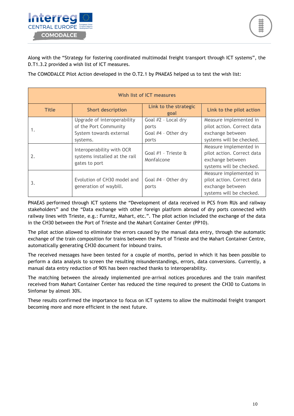

Along with the "Strategy for fostering coordinated multimodal freight transport through ICT systems", the D.T1.3.2 provided a wish list of ICT measures.

The COMODALCE Pilot Action developed in the O.T2.1 by PNAEAS helped us to test the wish list:

| Wish list of ICT measures |                                                                                             |                                                              |                                                                                                      |
|---------------------------|---------------------------------------------------------------------------------------------|--------------------------------------------------------------|------------------------------------------------------------------------------------------------------|
| <b>Title</b>              | <b>Short description</b>                                                                    | Link to the strategic<br>goal                                | Link to the pilot action                                                                             |
| 1.                        | Upgrade of interoperability<br>of the Port Community<br>System towards external<br>systems. | Goal #2 - Local dry<br>ports<br>Goal #4 - Other dry<br>ports | Measure implemented in<br>pilot action. Correct data<br>exchange between<br>systems will be checked. |
| 2.                        | Interoperability with OCR<br>systems installed at the rail<br>gates to port                 | Goal #1 - Trieste &<br>Monfalcone                            | Measure implemented in<br>pilot action. Correct data<br>exchange between<br>systems will be checked. |
| 3.                        | Evolution of CH30 model and<br>generation of waybill.                                       | Goal #4 - Other dry<br>ports                                 | Measure implemented in<br>pilot action. Correct data<br>exchange between<br>systems will be checked. |

PNAEAS performed through ICT systems the "Development of data received in PCS from RUs and railway stakeholders" and the "Data exchange with other foreign platform abroad of dry ports connected with railway lines with Trieste, e.g.: Furnitz, Mahart, etc.". The pilot action included the exchange of the data in the CH30 between the Port of Trieste and the Mahart Container Center (PP10).

The pilot action allowed to eliminate the errors caused by the manual data entry, through the automatic exchange of the train composition for trains between the Port of Trieste and the Mahart Container Centre, automatically generating CH30 document for inbound trains.

The received messages have been tested for a couple of months, period in which it has been possible to perform a data analysis to screen the resulting misunderstandings, errors, data conversions. Currently, a manual data entry reduction of 90% has been reached thanks to interoperability.

The matching between the already implemented pre-arrival notices procedures and the train manifest received from Mahart Container Center has reduced the time required to present the CH30 to Customs in Sinfomar by almost 30%.

These results confirmed the importance to focus on ICT systems to allow the multimodal freight transport becoming more and more efficient in the next future.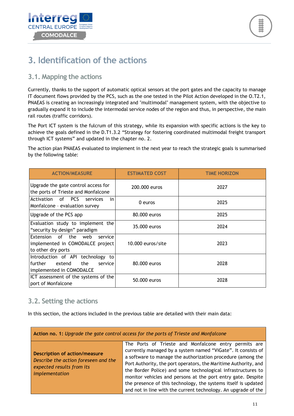



#### <span id="page-11-0"></span>**3. Identification of the actions**

#### <span id="page-11-1"></span>**3.1. Mapping the actions**

Currently, thanks to the support of automatic optical sensors at the port gates and the capacity to manage IT document flows provided by the PCS, such as the one tested in the Pilot Action developed in the O.T2.1, PNAEAS is creating an increasingly integrated and "multimodal" management system, with the objective to gradually expand it to include the intermodal service nodes of the region and thus, in perspective, the main rail routes (traffic corridors).

The Port ICT system is the fulcrum of this strategy, while its expansion with specific actions is the key to achieve the goals defined in the D.T1.3.2 "Strategy for fostering coordinated multimodal freight transport through ICT systems" and updated in the chapter no. 2.

The action plan PNAEAS evaluated to implement in the next year to reach the strategic goals is summarised by the following table:

| <b>ACTION/MEASURE</b>                                                                                | <b>ESTIMATED COST</b> | <b>TIME HORIZON</b> |
|------------------------------------------------------------------------------------------------------|-----------------------|---------------------|
| Upgrade the gate control access for<br>the ports of Trieste and Monfalcone                           | 200,000 euros         | 2027                |
| of PCS<br>Activation<br>services<br>in<br>Monfalcone - evaluation survey                             | 0 euros               | 2025                |
| Upgrade of the PCS app                                                                               | 80,000 euros          | 2025                |
| Evaluation study to implement the<br>"security by design" paradigm                                   | 35.000 euros          | 2024                |
| Extension of the web<br>service<br>implemented in COMODALCE project<br>to other dry ports            | 10.000 euros/site     | 2023                |
| Introduction of API technology to<br>further<br>extend<br>the<br>service<br>implemented in COMODALCE | 80.000 euros          | 2028                |
| ICT assessment of the systems of the<br>port of Monfalcone                                           | 50,000 euros          | 2028                |

#### <span id="page-11-2"></span>**3.2. Setting the actions**

In this section, the actions included in the previous table are detailed with their main data:

| Action no. 1: Upgrade the gate control access for the ports of Trieste and Monfalcone                                       |                                                                                                                                                                                                                                                                                                                                                                                                                                                                                                                             |  |
|-----------------------------------------------------------------------------------------------------------------------------|-----------------------------------------------------------------------------------------------------------------------------------------------------------------------------------------------------------------------------------------------------------------------------------------------------------------------------------------------------------------------------------------------------------------------------------------------------------------------------------------------------------------------------|--|
| <b>Description of action/measure</b><br>Describe the action foreseen and the<br>expected results from its<br>implementation | The Ports of Trieste and Monfalcone entry permits are<br>currently managed by a system named "ViGate". It consists of<br>a software to manage the authorization procedure (among the<br>Port Authority, the port operators, the Maritime Authority, and<br>the Border Police) and some technological infrastructures to<br>monitor vehicles and persons at the port entry gate. Despite<br>the presence of this technology, the systems itself is updated<br>and not in line with the current technology. An upgrade of the |  |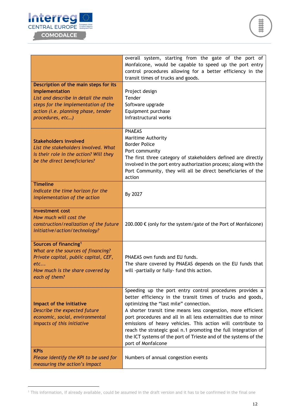



| Description of the main steps for its                                                                                                                                        | overall system, starting from the gate of the port of<br>Monfalcone, would be capable to speed up the port entry<br>control procedures allowing for a better efficiency in the<br>transit times of trucks and goods.                                                                                                                                                                                                                                                                                                           |
|------------------------------------------------------------------------------------------------------------------------------------------------------------------------------|--------------------------------------------------------------------------------------------------------------------------------------------------------------------------------------------------------------------------------------------------------------------------------------------------------------------------------------------------------------------------------------------------------------------------------------------------------------------------------------------------------------------------------|
| implementation<br>List and describe in detail the main<br>steps for the implementation of the<br>action (i.e. planning phase, tender<br>procedures, etc)                     | Project design<br>Tender<br>Software upgrade<br>Equipment purchase<br>Infrastructural works                                                                                                                                                                                                                                                                                                                                                                                                                                    |
| <b>Stakeholders involved</b><br>List the stakeholders involved. What<br>is their role in the action? Will they<br>be the direct beneficiaries?                               | <b>PNAEAS</b><br>Maritime Authority<br><b>Border Police</b><br>Port community<br>The first three category of stakeholders defined are directly<br>involved in the port entry authorization process; along with the<br>Port Community, they will all be direct beneficiaries of the<br>action                                                                                                                                                                                                                                   |
| <b>Timeline</b><br>Indicate the time horizon for the<br>implementation of the action                                                                                         | By 2027                                                                                                                                                                                                                                                                                                                                                                                                                                                                                                                        |
| <b>Investment cost</b><br>How much will cost the<br>construction/realization of the future<br>initiative/action/technology?                                                  | 200.000 € (only for the system/gate of the Port of Monfalcone)                                                                                                                                                                                                                                                                                                                                                                                                                                                                 |
| Sources of financing <sup>1</sup><br>What are the sources of financing?<br>Private capital, public capital, CEF,<br>etc<br>How much is the share covered by<br>each of them? | PNAEAS own funds and EU funds.<br>The share covered by PNAEAS depends on the EU funds that<br>will -partially or fully- fund this action.                                                                                                                                                                                                                                                                                                                                                                                      |
| Impact of the initiative<br>Describe the expected future<br>economic, social, environmental<br>impacts of this initiative                                                    | Speeding up the port entry control procedures provides a<br>better efficiency in the transit times of trucks and goods,<br>optimizing the "last mile" connection.<br>A shorter transit time means less congestion, more efficient<br>port procedures and all in all less externalities due to minor<br>emissions of heavy vehicles. This action will contribute to<br>reach the strategic goal n.1 promoting the full integration of<br>the ICT systems of the port of Trieste and of the systems of the<br>port of Monfalcone |
| <b>KPIs</b><br>Please identify the KPI to be used for<br>measuring the action's impact                                                                                       | Numbers of annual congestion events                                                                                                                                                                                                                                                                                                                                                                                                                                                                                            |

<sup>1</sup> This information, if already available, could be assumed in the draft version and it has to be confirmed in the final one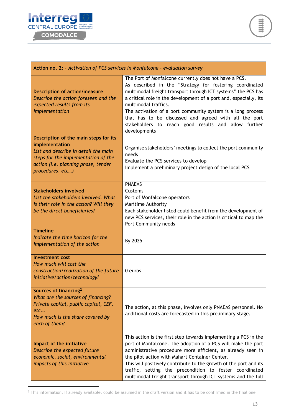

| Action no. 2: - Activation of PCS services in Monfalcone - evaluation survey                                                                                                                      |                                                                                                                                                                                                                                                                                                                                                                                                                                                                                |
|---------------------------------------------------------------------------------------------------------------------------------------------------------------------------------------------------|--------------------------------------------------------------------------------------------------------------------------------------------------------------------------------------------------------------------------------------------------------------------------------------------------------------------------------------------------------------------------------------------------------------------------------------------------------------------------------|
| <b>Description of action/measure</b><br>Describe the action foreseen and the<br>expected results from its<br>implementation                                                                       | The Port of Monfalcone currently does not have a PCS.<br>As described in the "Strategy for fostering coordinated<br>multimodal freight transport through ICT systems" the PCS has<br>a critical role in the development of a port and, especially, its<br>multimodal traffics.<br>The activation of a port community system is a long process<br>that has to be discussed and agreed with all the port<br>stakeholders to reach good results and allow further<br>developments |
| Description of the main steps for its<br>implementation<br>List and describe in detail the main<br>steps for the implementation of the<br>action (i.e. planning phase, tender<br>procedures, etc) | Organise stakeholders' meetings to collect the port community<br>needs<br>Evaluate the PCS services to develop<br>Implement a preliminary project design of the local PCS                                                                                                                                                                                                                                                                                                      |
| <b>Stakeholders involved</b><br>List the stakeholders involved. What<br>is their role in the action? Will they<br>be the direct beneficiaries?                                                    | <b>PNAEAS</b><br>Customs<br>Port of Monfalcone operators<br>Maritime Authority<br>Each stakeholder listed could benefit from the development of<br>new PCS services, their role in the action is critical to map the<br>Port Community needs                                                                                                                                                                                                                                   |
| <b>Timeline</b><br>Indicate the time horizon for the<br>implementation of the action                                                                                                              | By 2025                                                                                                                                                                                                                                                                                                                                                                                                                                                                        |
| <b>Investment cost</b><br>How much will cost the<br>construction/realization of the future<br>initiative/action/technology?                                                                       | $0$ euros                                                                                                                                                                                                                                                                                                                                                                                                                                                                      |
| Sources of financing <sup>2</sup><br>What are the sources of financing?<br>Private capital, public capital, CEF,<br>etc<br>How much is the share covered by<br>each of them?                      | The action, at this phase, involves only PNAEAS personnel. No<br>additional costs are forecasted in this preliminary stage.                                                                                                                                                                                                                                                                                                                                                    |
| Impact of the initiative<br>Describe the expected future<br>economic, social, environmental<br>impacts of this initiative                                                                         | This action is the first step towards implementing a PCS in the<br>port of Monfalcone. The adoption of a PCS will make the port<br>administrative procedure more efficient, as already seen in<br>the pilot action with Mahart Container Center.<br>This will positively contribute to the growth of the port and its<br>traffic, setting the precondition to foster coordinated<br>multimodal freight transport through ICT systems and the full                              |

 $2$  This information, if already available, could be assumed in the draft version and it has to be confirmed in the final one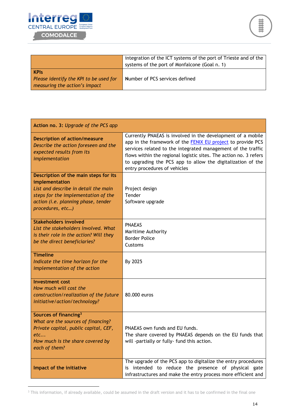



|                                                                                        | integration of the ICT systems of the port of Trieste and of the<br>systems of the port of Monfalcone (Goal n. 1) |
|----------------------------------------------------------------------------------------|-------------------------------------------------------------------------------------------------------------------|
| <b>KPIs</b><br>Please identify the KPI to be used for<br>measuring the action's impact | Number of PCS services defined                                                                                    |

| Action no. 3: Upgrade of the PCS app                                                                                                                                                              |                                                                                                                                                                                                                                                                                                                                                                       |
|---------------------------------------------------------------------------------------------------------------------------------------------------------------------------------------------------|-----------------------------------------------------------------------------------------------------------------------------------------------------------------------------------------------------------------------------------------------------------------------------------------------------------------------------------------------------------------------|
| <b>Description of action/measure</b><br>Describe the action foreseen and the<br>expected results from its<br>implementation                                                                       | Currently PNAEAS is involved in the development of a mobile<br>app in the framework of the <b>FENIX EU</b> project to provide PCS<br>services related to the integrated management of the traffic<br>flows within the regional logistic sites. The action no. 3 refers<br>to upgrading the PCS app to allow the digitalization of the<br>entry procedures of vehicles |
| Description of the main steps for its<br>implementation<br>List and describe in detail the main<br>steps for the implementation of the<br>action (i.e. planning phase, tender<br>procedures, etc) | Project design<br>Tender<br>Software upgrade                                                                                                                                                                                                                                                                                                                          |
| <b>Stakeholders involved</b><br>List the stakeholders involved. What<br>is their role in the action? Will they<br>be the direct beneficiaries?                                                    | <b>PNAEAS</b><br>Maritime Authority<br><b>Border Police</b><br>Customs                                                                                                                                                                                                                                                                                                |
| <b>Timeline</b><br>Indicate the time horizon for the<br>implementation of the action                                                                                                              | By 2025                                                                                                                                                                                                                                                                                                                                                               |
| <b>Investment cost</b><br>How much will cost the<br>construction/realization of the future<br>initiative/action/technology?                                                                       | 80.000 euros                                                                                                                                                                                                                                                                                                                                                          |
| Sources of financing <sup>3</sup><br>What are the sources of financing?<br>Private capital, public capital, CEF,<br>etc<br>How much is the share covered by<br>each of them?                      | PNAEAS own funds and EU funds.<br>The share covered by PNAEAS depends on the EU funds that<br>will -partially or fully- fund this action.                                                                                                                                                                                                                             |
| Impact of the initiative                                                                                                                                                                          | The upgrade of the PCS app to digitalize the entry procedures<br>is intended to reduce the presence of physical gate<br>infrastructures and make the entry process more efficient and                                                                                                                                                                                 |

<sup>&</sup>lt;sup>3</sup> This information, if already available, could be assumed in the draft version and it has to be confirmed in the final one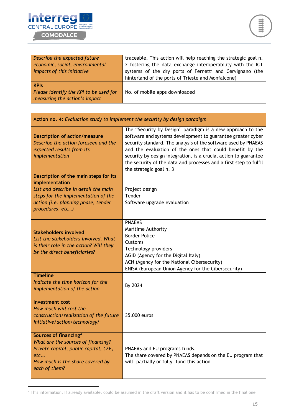

| Describe the expected future           | traceable. This action will help reaching the strategic goal n. |
|----------------------------------------|-----------------------------------------------------------------|
| economic, social, environmental        | 2 fostering the data exchange interoperability with the ICT     |
| impacts of this initiative             | systems of the dry ports of Fernetti and Cervignano (the        |
|                                        | hinterland of the ports of Trieste and Monfalcone)              |
| <b>KPIS</b>                            |                                                                 |
| Please identify the KPI to be used for | No. of mobile apps downloaded                                   |
| measuring the action's impact          |                                                                 |

| Action no. 4: Evaluation study to implement the security by design paradigm                                                                                                                       |                                                                                                                                                                                                                                                                                                                                                                                                                             |  |
|---------------------------------------------------------------------------------------------------------------------------------------------------------------------------------------------------|-----------------------------------------------------------------------------------------------------------------------------------------------------------------------------------------------------------------------------------------------------------------------------------------------------------------------------------------------------------------------------------------------------------------------------|--|
| <b>Description of action/measure</b><br>Describe the action foreseen and the<br>expected results from its<br>implementation                                                                       | The "Security by Design" paradigm is a new approach to the<br>software and systems development to guarantee greater cyber<br>security standard. The analysis of the software used by PNAEAS<br>and the evaluation of the ones that could benefit by the<br>security by design integration, is a crucial action to guarantee<br>the security of the data and processes and a first step to fulfil<br>the strategic goal n. 3 |  |
| Description of the main steps for its<br>implementation<br>List and describe in detail the main<br>steps for the implementation of the<br>action (i.e. planning phase, tender<br>procedures, etc) | Project design<br>Tender<br>Software upgrade evaluation                                                                                                                                                                                                                                                                                                                                                                     |  |
| <b>Stakeholders involved</b><br>List the stakeholders involved. What<br>is their role in the action? Will they<br>be the direct beneficiaries?                                                    | <b>PNAEAS</b><br>Maritime Authority<br><b>Border Police</b><br>Customs<br>Technology providers<br>AGID (Agency for the Digital Italy)<br>ACN (Agency for the National Cibersecurity)<br>ENISA (European Union Agency for the Cibersecurity)                                                                                                                                                                                 |  |
| <b>Timeline</b><br>Indicate the time horizon for the<br>implementation of the action                                                                                                              | By 2024                                                                                                                                                                                                                                                                                                                                                                                                                     |  |
| <b>Investment cost</b><br>How much will cost the<br>construction/realization of the future<br>initiative/action/technology?                                                                       | 35,000 euros                                                                                                                                                                                                                                                                                                                                                                                                                |  |
| Sources of financing <sup>4</sup><br>What are the sources of financing?<br>Private capital, public capital, CEF,<br>etc<br>How much is the share covered by<br>each of them?                      | PNAEAS and EU programs funds.<br>The share covered by PNAEAS depends on the EU program that<br>will -partially or fully- fund this action                                                                                                                                                                                                                                                                                   |  |

<sup>4</sup> This information, if already available, could be assumed in the draft version and it has to be confirmed in the final one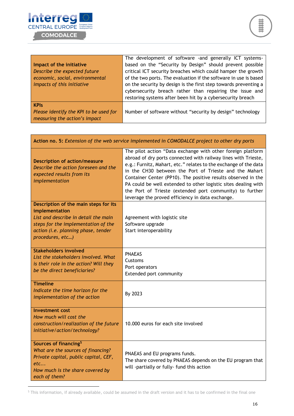

|                                        | The development of software -and generally ICT systems-          |
|----------------------------------------|------------------------------------------------------------------|
| Impact of the initiative               | based on the "Security by Design" should prevent possible        |
| Describe the expected future           | critical ICT security breaches which could hamper the growth     |
| economic, social, environmental        | of the two ports. The evaluation if the software in use is based |
| impacts of this initiative             | on the security by design is the first step towards preventing a |
|                                        | cybersecurity breach rather than repairing the issue and         |
|                                        | restoring systems after been hit by a cybersecurity breach       |
| <b>KPIs</b>                            |                                                                  |
| Please identify the KPI to be used for | Number of software without "security by design" technology       |
| measuring the action's impact          |                                                                  |

| Action no. 5: Extension of the web service implemented in COMODALCE project to other dry ports                                                                                                    |                                                                                                                                                                                                                                                                                                                                                                                                                                                                                                                |
|---------------------------------------------------------------------------------------------------------------------------------------------------------------------------------------------------|----------------------------------------------------------------------------------------------------------------------------------------------------------------------------------------------------------------------------------------------------------------------------------------------------------------------------------------------------------------------------------------------------------------------------------------------------------------------------------------------------------------|
| <b>Description of action/measure</b><br>Describe the action foreseen and the<br>expected results from its<br>implementation                                                                       | The pilot action "Data exchange with other foreign platform<br>abroad of dry ports connected with railway lines with Trieste,<br>e.g.: Furnitz, Mahart, etc." relates to the exchange of the data<br>in the CH30 between the Port of Trieste and the Mahart<br>Container Center (PP10). The positive results observed in the<br>PA could be well extended to other logistic sites dealing with<br>the Port of Trieste (extended port community) to further<br>leverage the proved efficiency in data exchange. |
| Description of the main steps for its<br>implementation<br>List and describe in detail the main<br>steps for the implementation of the<br>action (i.e. planning phase, tender<br>procedures, etc) | Agreement with logistic site<br>Software upgrade<br>Start interoperability                                                                                                                                                                                                                                                                                                                                                                                                                                     |
| <b>Stakeholders involved</b><br>List the stakeholders involved. What<br>is their role in the action? Will they<br>be the direct beneficiaries?                                                    | <b>PNAEAS</b><br>Customs<br>Port operators<br>Extended port community                                                                                                                                                                                                                                                                                                                                                                                                                                          |
| <b>Timeline</b><br>Indicate the time horizon for the<br>implementation of the action                                                                                                              | By 2023                                                                                                                                                                                                                                                                                                                                                                                                                                                                                                        |
| <b>Investment cost</b><br>How much will cost the<br>construction/realization of the future<br>initiative/action/technology?                                                                       | 10.000 euros for each site involved                                                                                                                                                                                                                                                                                                                                                                                                                                                                            |
| Sources of financing <sup>5</sup><br>What are the sources of financing?<br>Private capital, public capital, CEF,<br>etc<br>How much is the share covered by<br>each of them?                      | PNAEAS and EU programs funds.<br>The share covered by PNAEAS depends on the EU program that<br>will -partially or fully- fund this action                                                                                                                                                                                                                                                                                                                                                                      |

<sup>5</sup> This information, if already available, could be assumed in the draft version and it has to be confirmed in the final one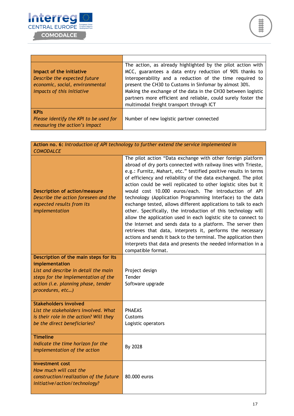

Г

٦

|                                        | The action, as already highlighted by the pilot action with   |
|----------------------------------------|---------------------------------------------------------------|
| Impact of the initiative               | MCC, guarantees a data entry reduction of 90% thanks to       |
| Describe the expected future           | interoperability and a reduction of the time required to      |
| economic, social, environmental        | present the CH30 to Customs in Sinfomar by almost 30%.        |
| impacts of this initiative             | Making the exchange of the data in the CH30 between logistic  |
|                                        | partners more efficient and reliable, could surely foster the |
|                                        | multimodal freight transport through ICT                      |
| <b>KPIs</b>                            |                                                               |
| Please identify the KPI to be used for | Number of new logistic partner connected                      |
| measuring the action's impact          |                                                               |

÷,

| Action no. 6: Introduction of API technology to further extend the service implemented in<br><b>COMODALCE</b>               |                                                                                                                                                                                                                                                                                                                                                                                                                                                                                                                                                                                                                                                                                                                                                                                                                                                                                                                                                         |  |
|-----------------------------------------------------------------------------------------------------------------------------|---------------------------------------------------------------------------------------------------------------------------------------------------------------------------------------------------------------------------------------------------------------------------------------------------------------------------------------------------------------------------------------------------------------------------------------------------------------------------------------------------------------------------------------------------------------------------------------------------------------------------------------------------------------------------------------------------------------------------------------------------------------------------------------------------------------------------------------------------------------------------------------------------------------------------------------------------------|--|
| <b>Description of action/measure</b><br>Describe the action foreseen and the<br>expected results from its<br>implementation | The pilot action "Data exchange with other foreign platform<br>abroad of dry ports connected with railway lines with Trieste,<br>e.g.: Furnitz, Mahart, etc." testified positive results in terms<br>of efficiency and reliability of the data exchanged. The pilot<br>action could be well replicated to other logistic sites but it<br>would cost 10.000 euros/each. The introduction of API<br>technology (Application Programming Interface) to the data<br>exchange tested, allows different applications to talk to each<br>other. Specifically, the introduction of this technology will<br>allow the application used in each logistic site to connect to<br>the Internet and sends data to a platform. The server then<br>retrieves that data, interprets it, performs the necessary<br>actions and sends it back to the terminal. The application then<br>interprets that data and presents the needed information in a<br>compatible format. |  |
| Description of the main steps for its<br>implementation                                                                     |                                                                                                                                                                                                                                                                                                                                                                                                                                                                                                                                                                                                                                                                                                                                                                                                                                                                                                                                                         |  |
| List and describe in detail the main<br>steps for the implementation of the                                                 | Project design<br>Tender                                                                                                                                                                                                                                                                                                                                                                                                                                                                                                                                                                                                                                                                                                                                                                                                                                                                                                                                |  |
| action (i.e. planning phase, tender<br>procedures, etc)                                                                     | Software upgrade                                                                                                                                                                                                                                                                                                                                                                                                                                                                                                                                                                                                                                                                                                                                                                                                                                                                                                                                        |  |
| <b>Stakeholders involved</b>                                                                                                |                                                                                                                                                                                                                                                                                                                                                                                                                                                                                                                                                                                                                                                                                                                                                                                                                                                                                                                                                         |  |
| List the stakeholders involved. What<br>is their role in the action? Will they                                              | <b>PNAEAS</b><br>Customs                                                                                                                                                                                                                                                                                                                                                                                                                                                                                                                                                                                                                                                                                                                                                                                                                                                                                                                                |  |
| be the direct beneficiaries?                                                                                                | Logistic operators                                                                                                                                                                                                                                                                                                                                                                                                                                                                                                                                                                                                                                                                                                                                                                                                                                                                                                                                      |  |
| <b>Timeline</b><br>Indicate the time horizon for the<br>implementation of the action                                        | By 2028                                                                                                                                                                                                                                                                                                                                                                                                                                                                                                                                                                                                                                                                                                                                                                                                                                                                                                                                                 |  |
| <b>Investment cost</b><br>How much will cost the<br>construction/realization of the future<br>initiative/action/technology? | 80.000 euros                                                                                                                                                                                                                                                                                                                                                                                                                                                                                                                                                                                                                                                                                                                                                                                                                                                                                                                                            |  |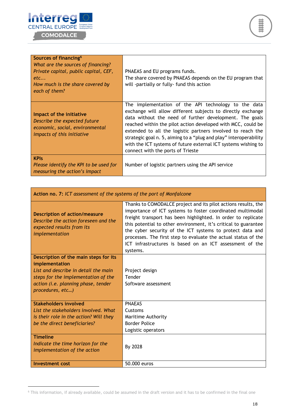## Interreg COMODALCE

| Sources of financing <sup>6</sup><br>What are the sources of financing?<br>Private capital, public capital, CEF,<br>etc<br>How much is the share covered by<br>each of them? | PNAEAS and EU programs funds.<br>The share covered by PNAEAS depends on the EU program that<br>will -partially or fully- fund this action                                                                                                                                                                                                                                                                                                                                                 |
|------------------------------------------------------------------------------------------------------------------------------------------------------------------------------|-------------------------------------------------------------------------------------------------------------------------------------------------------------------------------------------------------------------------------------------------------------------------------------------------------------------------------------------------------------------------------------------------------------------------------------------------------------------------------------------|
| Impact of the initiative<br>Describe the expected future<br>economic, social, environmental<br>impacts of this initiative                                                    | The implementation of the API technology to the data<br>exchange will allow different subjects to directly exchange<br>data without the need of further development. The goals<br>reached within the pilot action developed with MCC, could be<br>extended to all the logistic partners involved to reach the<br>strategic goal n. 5, aiming to a "plug and play" interoperability<br>with the ICT systems of future external ICT systems wishing to<br>connect with the ports of Trieste |
| <b>KPIs</b><br>Please identify the KPI to be used for<br>measuring the action's impact                                                                                       | Number of logistic partners using the API service                                                                                                                                                                                                                                                                                                                                                                                                                                         |

| Action no. 7: ICT assessment of the systems of the port of Monfalcone                                                       |                                                                                                                                                                                                                                                                                                                                                                                                                                                                         |
|-----------------------------------------------------------------------------------------------------------------------------|-------------------------------------------------------------------------------------------------------------------------------------------------------------------------------------------------------------------------------------------------------------------------------------------------------------------------------------------------------------------------------------------------------------------------------------------------------------------------|
| <b>Description of action/measure</b><br>Describe the action foreseen and the<br>expected results from its<br>implementation | Thanks to COMODALCE project and its pilot actions results, the<br>importance of ICT systems to foster coordinated multimodal<br>freight transport has been highlighted. In order to replicate<br>this potential to other environment, it's critical to guarantee<br>the cyber security of the ICT systems to protect data and<br>processes. The first step to evaluate the actual status of the<br>ICT infrastructures is based on an ICT assessment of the<br>systems. |
| Description of the main steps for its<br>implementation                                                                     |                                                                                                                                                                                                                                                                                                                                                                                                                                                                         |
| List and describe in detail the main                                                                                        | Project design                                                                                                                                                                                                                                                                                                                                                                                                                                                          |
| steps for the implementation of the                                                                                         | Tender                                                                                                                                                                                                                                                                                                                                                                                                                                                                  |
| action (i.e. planning phase, tender                                                                                         | Software assessment                                                                                                                                                                                                                                                                                                                                                                                                                                                     |
| procedures, etc)                                                                                                            |                                                                                                                                                                                                                                                                                                                                                                                                                                                                         |
| Stakeholders involved                                                                                                       | <b>PNAEAS</b>                                                                                                                                                                                                                                                                                                                                                                                                                                                           |
| List the stakeholders involved. What                                                                                        | Customs                                                                                                                                                                                                                                                                                                                                                                                                                                                                 |
| is their role in the action? Will they                                                                                      | <b>Maritime Authority</b>                                                                                                                                                                                                                                                                                                                                                                                                                                               |
| be the direct beneficiaries?                                                                                                | <b>Border Police</b>                                                                                                                                                                                                                                                                                                                                                                                                                                                    |
|                                                                                                                             | Logistic operators                                                                                                                                                                                                                                                                                                                                                                                                                                                      |
| <b>Timeline</b><br>Indicate the time horizon for the<br>implementation of the action                                        | By 2028                                                                                                                                                                                                                                                                                                                                                                                                                                                                 |
| Investment cost                                                                                                             | 50.000 euros                                                                                                                                                                                                                                                                                                                                                                                                                                                            |

<sup>6</sup> This information, if already available, could be assumed in the draft version and it has to be confirmed in the final one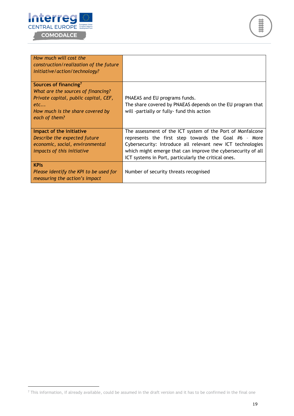



| How much will cost the<br>construction/realization of the future<br>initiative/action/technology? |                                                                                                                      |
|---------------------------------------------------------------------------------------------------|----------------------------------------------------------------------------------------------------------------------|
| Sources of financing <sup>7</sup><br>What are the sources of financing?                           |                                                                                                                      |
| Private capital, public capital, CEF,                                                             | PNAEAS and EU programs funds.                                                                                        |
| etc                                                                                               | The share covered by PNAEAS depends on the EU program that                                                           |
| How much is the share covered by<br>each of them?                                                 | will -partially or fully- fund this action                                                                           |
| Impact of the initiative                                                                          | The assessment of the ICT system of the Port of Monfalcone                                                           |
| Describe the expected future                                                                      | represents the first step towards the Goal #6 - More                                                                 |
| economic, social, environmental                                                                   | Cybersecurity: Introduce all relevant new ICT technologies                                                           |
| impacts of this initiative                                                                        | which might emerge that can improve the cybersecurity of all<br>ICT systems in Port, particularly the critical ones. |
| <b>KPIS</b>                                                                                       |                                                                                                                      |
| Please identify the KPI to be used for<br>measuring the action's impact                           | Number of security threats recognised                                                                                |

 $^7$  This information, if already available, could be assumed in the draft version and it has to be confirmed in the final one